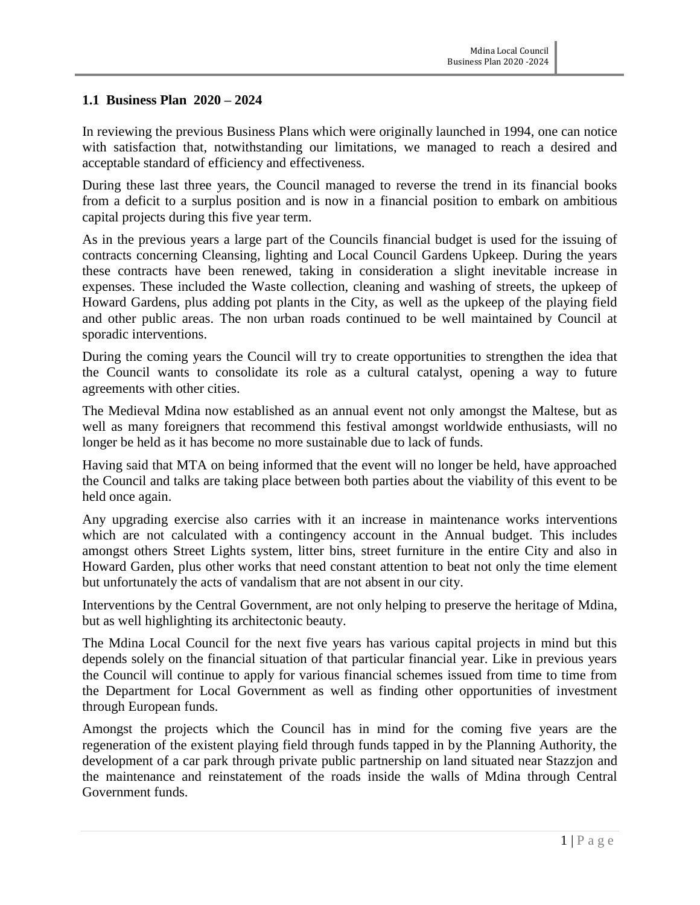# **1.1 Business Plan 2020 – 2024**

In reviewing the previous Business Plans which were originally launched in 1994, one can notice with satisfaction that, notwithstanding our limitations, we managed to reach a desired and acceptable standard of efficiency and effectiveness.

During these last three years, the Council managed to reverse the trend in its financial books from a deficit to a surplus position and is now in a financial position to embark on ambitious capital projects during this five year term.

As in the previous years a large part of the Councils financial budget is used for the issuing of contracts concerning Cleansing, lighting and Local Council Gardens Upkeep. During the years these contracts have been renewed, taking in consideration a slight inevitable increase in expenses. These included the Waste collection, cleaning and washing of streets, the upkeep of Howard Gardens, plus adding pot plants in the City, as well as the upkeep of the playing field and other public areas. The non urban roads continued to be well maintained by Council at sporadic interventions.

During the coming years the Council will try to create opportunities to strengthen the idea that the Council wants to consolidate its role as a cultural catalyst, opening a way to future agreements with other cities.

The Medieval Mdina now established as an annual event not only amongst the Maltese, but as well as many foreigners that recommend this festival amongst worldwide enthusiasts, will no longer be held as it has become no more sustainable due to lack of funds.

Having said that MTA on being informed that the event will no longer be held, have approached the Council and talks are taking place between both parties about the viability of this event to be held once again.

Any upgrading exercise also carries with it an increase in maintenance works interventions which are not calculated with a contingency account in the Annual budget. This includes amongst others Street Lights system, litter bins, street furniture in the entire City and also in Howard Garden, plus other works that need constant attention to beat not only the time element but unfortunately the acts of vandalism that are not absent in our city.

Interventions by the Central Government, are not only helping to preserve the heritage of Mdina, but as well highlighting its architectonic beauty.

The Mdina Local Council for the next five years has various capital projects in mind but this depends solely on the financial situation of that particular financial year. Like in previous years the Council will continue to apply for various financial schemes issued from time to time from the Department for Local Government as well as finding other opportunities of investment through European funds.

Amongst the projects which the Council has in mind for the coming five years are the regeneration of the existent playing field through funds tapped in by the Planning Authority, the development of a car park through private public partnership on land situated near Stazzjon and the maintenance and reinstatement of the roads inside the walls of Mdina through Central Government funds.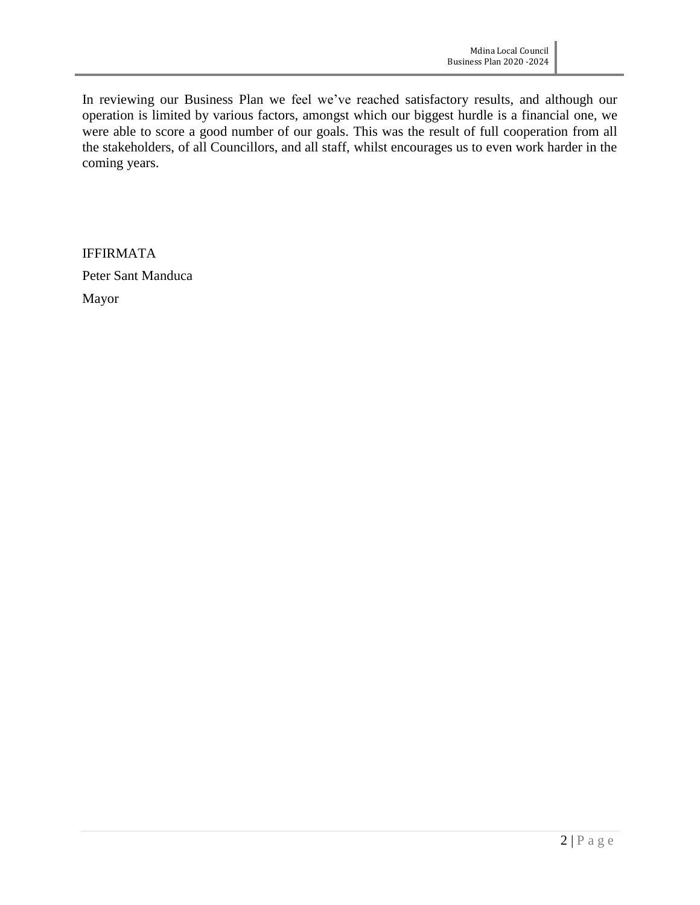In reviewing our Business Plan we feel we've reached satisfactory results, and although our operation is limited by various factors, amongst which our biggest hurdle is a financial one, we were able to score a good number of our goals. This was the result of full cooperation from all the stakeholders, of all Councillors, and all staff, whilst encourages us to even work harder in the coming years.

IFFIRMATA Peter Sant Manduca Mayor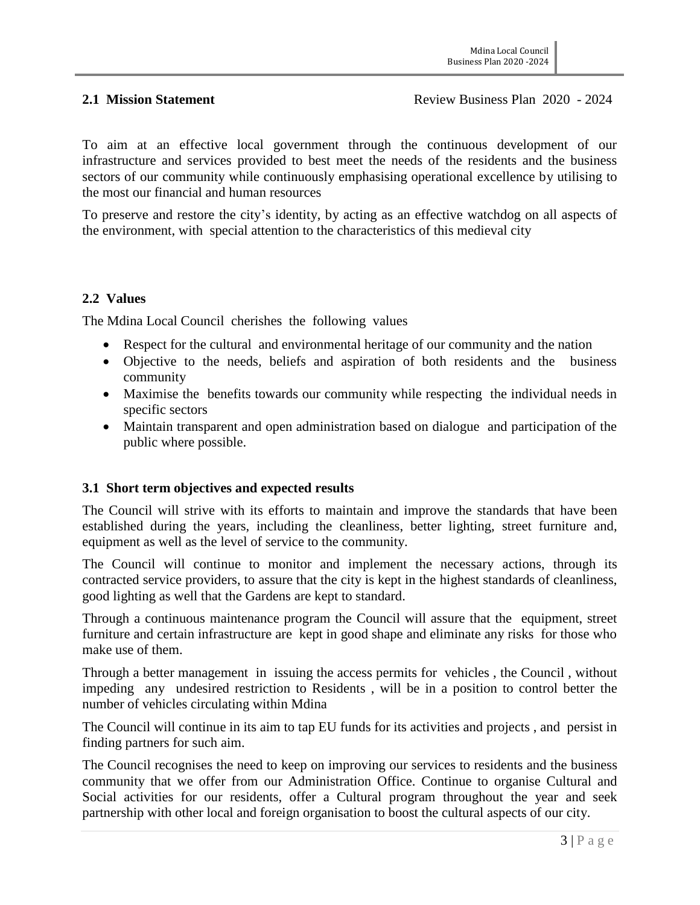To aim at an effective local government through the continuous development of our infrastructure and services provided to best meet the needs of the residents and the business sectors of our community while continuously emphasising operational excellence by utilising to the most our financial and human resources

To preserve and restore the city's identity, by acting as an effective watchdog on all aspects of the environment, with special attention to the characteristics of this medieval city

#### **2.2 Values**

The Mdina Local Council cherishes the following values

- Respect for the cultural and environmental heritage of our community and the nation
- Objective to the needs, beliefs and aspiration of both residents and the business community
- Maximise the benefits towards our community while respecting the individual needs in specific sectors
- Maintain transparent and open administration based on dialogue and participation of the public where possible.

# **3.1 Short term objectives and expected results**

The Council will strive with its efforts to maintain and improve the standards that have been established during the years, including the cleanliness, better lighting, street furniture and, equipment as well as the level of service to the community.

The Council will continue to monitor and implement the necessary actions, through its contracted service providers, to assure that the city is kept in the highest standards of cleanliness, good lighting as well that the Gardens are kept to standard.

Through a continuous maintenance program the Council will assure that the equipment, street furniture and certain infrastructure are kept in good shape and eliminate any risks for those who make use of them.

Through a better management in issuing the access permits for vehicles , the Council , without impeding any undesired restriction to Residents , will be in a position to control better the number of vehicles circulating within Mdina

The Council will continue in its aim to tap EU funds for its activities and projects , and persist in finding partners for such aim.

The Council recognises the need to keep on improving our services to residents and the business community that we offer from our Administration Office. Continue to organise Cultural and Social activities for our residents, offer a Cultural program throughout the year and seek partnership with other local and foreign organisation to boost the cultural aspects of our city.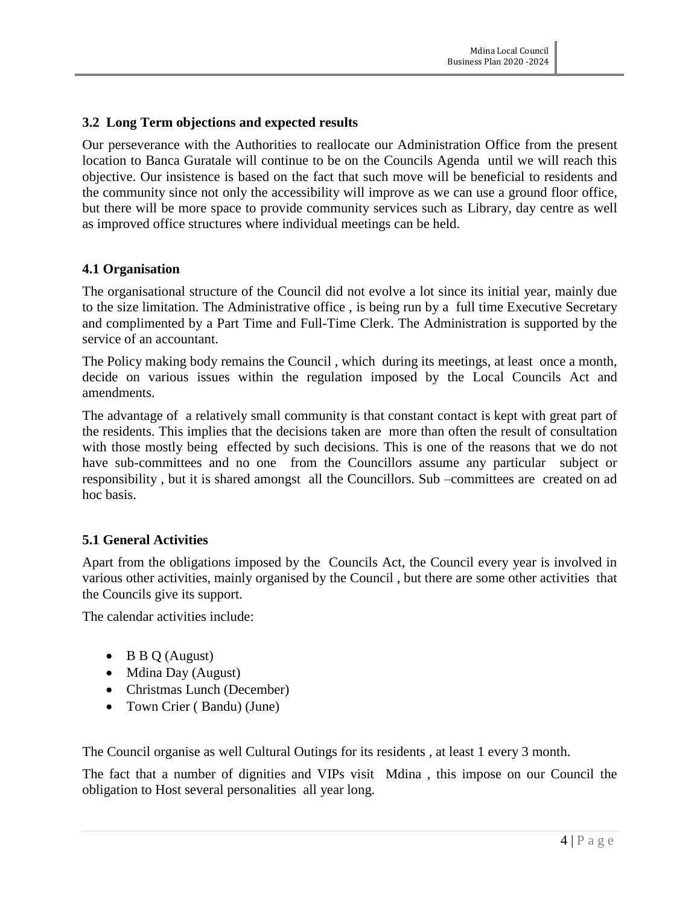### **3.2 Long Term objections and expected results**

Our perseverance with the Authorities to reallocate our Administration Office from the present location to Banca Guratale will continue to be on the Councils Agenda until we will reach this objective. Our insistence is based on the fact that such move will be beneficial to residents and the community since not only the accessibility will improve as we can use a ground floor office, but there will be more space to provide community services such as Library, day centre as well as improved office structures where individual meetings can be held.

#### **4.1 Organisation**

The organisational structure of the Council did not evolve a lot since its initial year, mainly due to the size limitation. The Administrative office , is being run by a full time Executive Secretary and complimented by a Part Time and Full-Time Clerk. The Administration is supported by the service of an accountant.

The Policy making body remains the Council , which during its meetings, at least once a month, decide on various issues within the regulation imposed by the Local Councils Act and amendments.

The advantage of a relatively small community is that constant contact is kept with great part of the residents. This implies that the decisions taken are more than often the result of consultation with those mostly being effected by such decisions. This is one of the reasons that we do not have sub-committees and no one from the Councillors assume any particular subject or responsibility , but it is shared amongst all the Councillors. Sub –committees are created on ad hoc basis.

#### **5.1 General Activities**

Apart from the obligations imposed by the Councils Act, the Council every year is involved in various other activities, mainly organised by the Council , but there are some other activities that the Councils give its support.

The calendar activities include:

- $\bullet$  B B Q (August)
- Mdina Day (August)
- Christmas Lunch (December)
- Town Crier (Bandu) (June)

The Council organise as well Cultural Outings for its residents , at least 1 every 3 month.

The fact that a number of dignities and VIPs visit Mdina , this impose on our Council the obligation to Host several personalities all year long.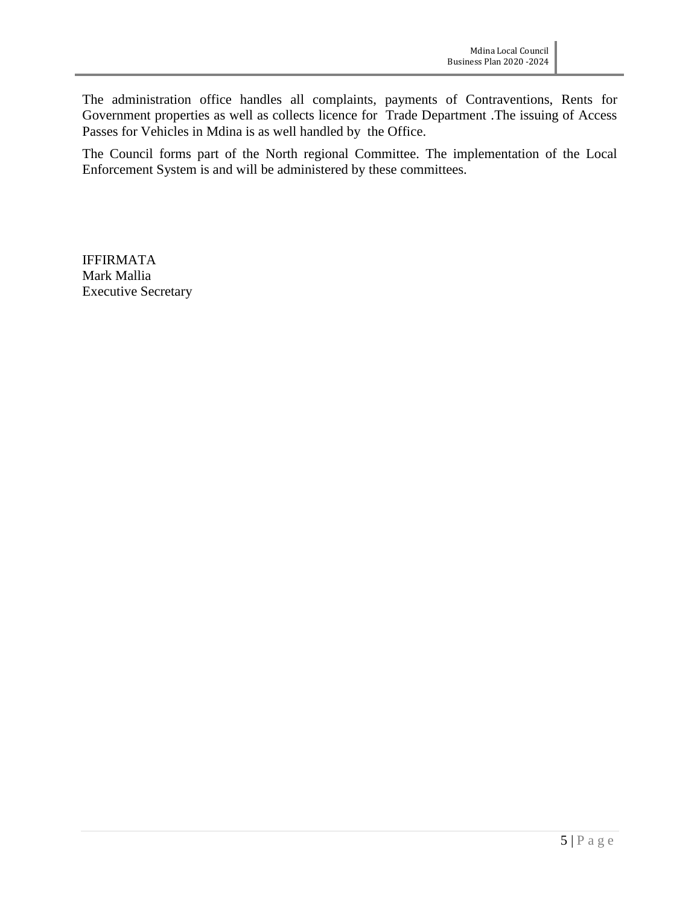The administration office handles all complaints, payments of Contraventions, Rents for Government properties as well as collects licence for Trade Department .The issuing of Access Passes for Vehicles in Mdina is as well handled by the Office.

The Council forms part of the North regional Committee. The implementation of the Local Enforcement System is and will be administered by these committees.

IFFIRMATA Mark Mallia Executive Secretary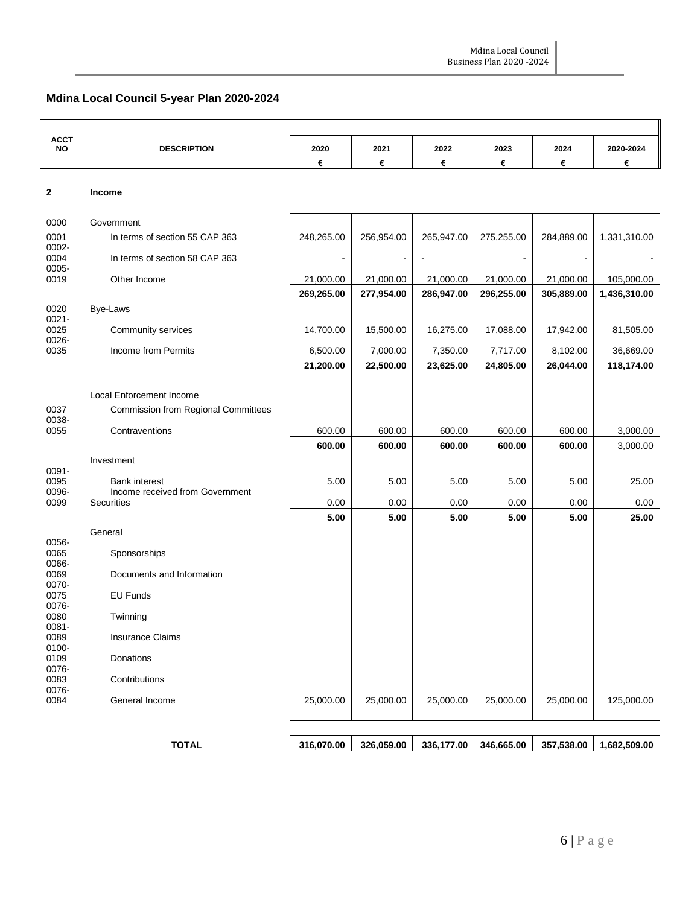# **Mdina Local Council 5-year Plan 2020-2024**

| <b>ACCT</b><br>NO         | <b>DESCRIPTION</b>                                   | 2020       | 2021       | 2022       | 2023       | 2024       | 2020-2024    |
|---------------------------|------------------------------------------------------|------------|------------|------------|------------|------------|--------------|
|                           |                                                      | €          | €          | €          | €          | €          | €            |
|                           |                                                      |            |            |            |            |            |              |
| $\mathbf{2}$              | Income                                               |            |            |            |            |            |              |
| 0000                      | Government                                           |            |            |            |            |            |              |
| 0001                      | In terms of section 55 CAP 363                       | 248,265.00 | 256,954.00 | 265,947.00 | 275,255.00 | 284,889.00 | 1,331,310.00 |
| 0002-<br>0004             | In terms of section 58 CAP 363                       |            |            |            |            |            |              |
| 0005-<br>0019             | Other Income                                         | 21,000.00  | 21,000.00  | 21,000.00  | 21,000.00  | 21,000.00  | 105,000.00   |
|                           |                                                      | 269,265.00 | 277,954.00 | 286,947.00 | 296,255.00 | 305,889.00 | 1,436,310.00 |
| 0020                      | Bye-Laws                                             |            |            |            |            |            |              |
| $0021 -$<br>0025<br>0026- | Community services                                   | 14,700.00  | 15,500.00  | 16,275.00  | 17,088.00  | 17,942.00  | 81,505.00    |
| 0035                      | Income from Permits                                  | 6,500.00   | 7,000.00   | 7,350.00   | 7,717.00   | 8,102.00   | 36,669.00    |
|                           |                                                      | 21,200.00  | 22,500.00  | 23,625.00  | 24,805.00  | 26,044.00  | 118,174.00   |
|                           |                                                      |            |            |            |            |            |              |
|                           | Local Enforcement Income                             |            |            |            |            |            |              |
| 0037<br>0038-             | <b>Commission from Regional Committees</b>           |            |            |            |            |            |              |
| 0055                      | Contraventions                                       | 600.00     | 600.00     | 600.00     | 600.00     | 600.00     | 3,000.00     |
|                           |                                                      | 600.00     | 600.00     | 600.00     | 600.00     | 600.00     | 3,000.00     |
| 0091-                     | Investment                                           |            |            |            |            |            |              |
| 0095                      | <b>Bank interest</b>                                 | 5.00       | 5.00       | 5.00       | 5.00       | 5.00       | 25.00        |
| 0096-<br>0099             | Income received from Government<br><b>Securities</b> | 0.00       | 0.00       | 0.00       | 0.00       | 0.00       | 0.00         |
|                           |                                                      | 5.00       | 5.00       | 5.00       | 5.00       | 5.00       | 25.00        |
|                           | General                                              |            |            |            |            |            |              |
| 0056-<br>0065             | Sponsorships                                         |            |            |            |            |            |              |
| 0066-                     |                                                      |            |            |            |            |            |              |
| 0069<br>0070-             | Documents and Information                            |            |            |            |            |            |              |
| 0075<br>0076-             | EU Funds                                             |            |            |            |            |            |              |
| 0080                      | Twinning                                             |            |            |            |            |            |              |
| $0081 -$<br>0089          | <b>Insurance Claims</b>                              |            |            |            |            |            |              |
| 0100-<br>0109<br>0076-    | Donations                                            |            |            |            |            |            |              |
| 0083<br>0076-             | Contributions                                        |            |            |            |            |            |              |
| 0084                      | General Income                                       | 25,000.00  | 25,000.00  | 25,000.00  | 25,000.00  | 25,000.00  | 125,000.00   |
|                           |                                                      |            |            |            |            |            |              |
|                           | <b>TOTAL</b>                                         | 316,070.00 | 326,059.00 | 336,177.00 | 346,665.00 | 357,538.00 | 1,682,509.00 |
|                           |                                                      |            |            |            |            |            |              |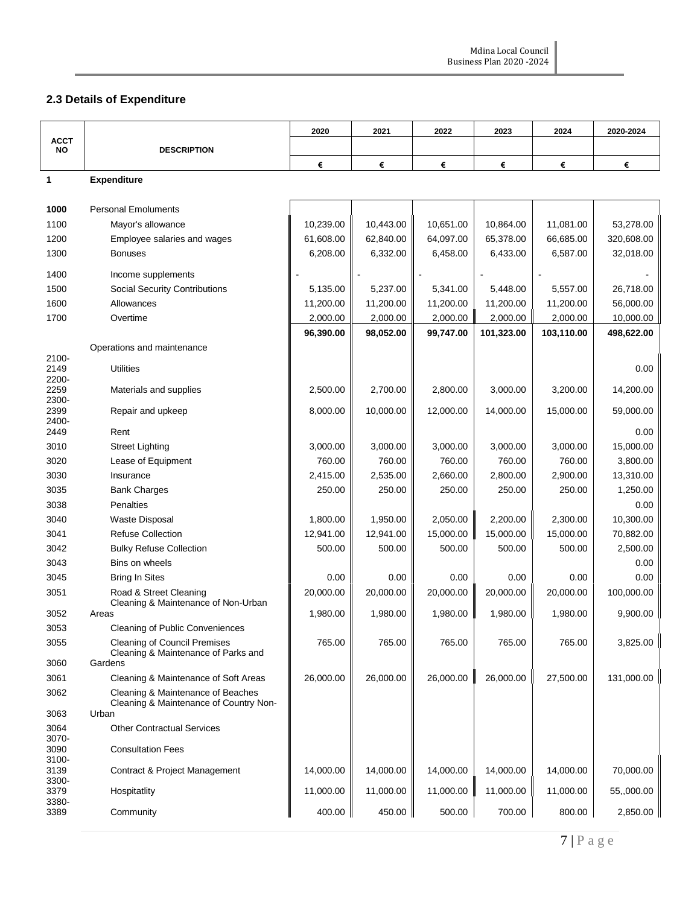# **2.3 Details of Expenditure**

|                        |                                                                             | 2020      | 2021      | 2022      | 2023       | 2024       | 2020-2024  |
|------------------------|-----------------------------------------------------------------------------|-----------|-----------|-----------|------------|------------|------------|
| <b>ACCT</b><br>NO      | <b>DESCRIPTION</b>                                                          |           |           |           |            |            |            |
|                        |                                                                             | €         | €         | €         | €          | €          | €          |
| 1                      | <b>Expenditure</b>                                                          |           |           |           |            |            |            |
|                        |                                                                             |           |           |           |            |            |            |
| 1000                   | <b>Personal Emoluments</b>                                                  |           |           |           |            |            |            |
| 1100                   | Mayor's allowance                                                           | 10,239.00 | 10,443.00 | 10,651.00 | 10,864.00  | 11,081.00  | 53,278.00  |
| 1200                   | Employee salaries and wages                                                 | 61,608.00 | 62,840.00 | 64,097.00 | 65,378.00  | 66,685.00  | 320,608.00 |
| 1300                   | <b>Bonuses</b>                                                              | 6,208.00  | 6,332.00  | 6,458.00  | 6,433.00   | 6,587.00   | 32,018.00  |
| 1400                   | Income supplements                                                          |           |           |           |            |            |            |
| 1500                   | <b>Social Security Contributions</b>                                        | 5,135.00  | 5,237.00  | 5,341.00  | 5,448.00   | 5,557.00   | 26,718.00  |
| 1600                   | Allowances                                                                  | 11,200.00 | 11,200.00 | 11,200.00 | 11,200.00  | 11,200.00  | 56,000.00  |
| 1700                   | Overtime                                                                    | 2,000.00  | 2,000.00  | 2,000.00  | 2,000.00   | 2,000.00   | 10,000.00  |
|                        |                                                                             | 96,390.00 | 98,052.00 | 99,747.00 | 101,323.00 | 103,110.00 | 498,622.00 |
|                        | Operations and maintenance                                                  |           |           |           |            |            |            |
| 2100-<br>2149<br>2200- | <b>Utilities</b>                                                            |           |           |           |            |            | 0.00       |
| 2259<br>2300-          | Materials and supplies                                                      | 2,500.00  | 2,700.00  | 2,800.00  | 3,000.00   | 3,200.00   | 14,200.00  |
| 2399<br>2400-          | Repair and upkeep                                                           | 8,000.00  | 10,000.00 | 12,000.00 | 14,000.00  | 15,000.00  | 59,000.00  |
| 2449                   | Rent                                                                        |           |           |           |            |            | 0.00       |
| 3010                   | <b>Street Lighting</b>                                                      | 3,000.00  | 3,000.00  | 3,000.00  | 3,000.00   | 3,000.00   | 15,000.00  |
| 3020                   | Lease of Equipment                                                          | 760.00    | 760.00    | 760.00    | 760.00     | 760.00     | 3,800.00   |
| 3030                   | Insurance                                                                   | 2,415.00  | 2,535.00  | 2,660.00  | 2,800.00   | 2,900.00   | 13,310.00  |
| 3035                   | <b>Bank Charges</b>                                                         | 250.00    | 250.00    | 250.00    | 250.00     | 250.00     | 1,250.00   |
| 3038                   | <b>Penalties</b>                                                            |           |           |           |            |            | 0.00       |
| 3040                   | <b>Waste Disposal</b>                                                       | 1,800.00  | 1,950.00  | 2,050.00  | 2,200.00   | 2,300.00   | 10,300.00  |
| 3041                   | <b>Refuse Collection</b>                                                    | 12,941.00 | 12,941.00 | 15,000.00 | 15,000.00  | 15,000.00  | 70,882.00  |
| 3042                   | <b>Bulky Refuse Collection</b>                                              | 500.00    | 500.00    | 500.00    | 500.00     | 500.00     | 2,500.00   |
| 3043                   | Bins on wheels                                                              |           |           |           |            |            | 0.00       |
| 3045                   | <b>Bring In Sites</b>                                                       | 0.00      | 0.00      | 0.00      | 0.00       | 0.00       | 0.00       |
| 3051                   | Road & Street Cleaning<br>Cleaning & Maintenance of Non-Urban               | 20,000.00 | 20,000.00 | 20,000.00 | 20,000.00  | 20,000.00  | 100,000.00 |
| 3052                   | Areas                                                                       | 1,980.00  | 1,980.00  | 1,980.00  | 1,980.00   | 1,980.00   | 9,900.00   |
| 3053                   | Cleaning of Public Conveniences                                             |           |           |           |            |            |            |
| 3055                   | <b>Cleaning of Council Premises</b><br>Cleaning & Maintenance of Parks and  | 765.00    | 765.00    | 765.00    | 765.00     | 765.00     | 3,825.00   |
| 3060                   | Gardens                                                                     |           |           |           |            |            |            |
| 3061                   | Cleaning & Maintenance of Soft Areas                                        | 26,000.00 | 26,000.00 | 26,000.00 | 26,000.00  | 27,500.00  | 131,000.00 |
| 3062                   | Cleaning & Maintenance of Beaches<br>Cleaning & Maintenance of Country Non- |           |           |           |            |            |            |
| 3063                   | Urban                                                                       |           |           |           |            |            |            |
| 3064<br>3070-<br>3090  | <b>Other Contractual Services</b><br><b>Consultation Fees</b>               |           |           |           |            |            |            |
| 3100-<br>3139          |                                                                             | 14,000.00 | 14,000.00 | 14,000.00 | 14,000.00  | 14,000.00  | 70,000.00  |
| 3300-<br>3379          | Contract & Project Management<br>Hospitatlity                               | 11,000.00 | 11,000.00 | 11,000.00 | 11,000.00  | 11,000.00  | 55,,000.00 |
| 3380-<br>3389          | Community                                                                   | 400.00    | 450.00    | 500.00    | 700.00     | 800.00     | 2,850.00   |
|                        |                                                                             |           |           |           |            |            |            |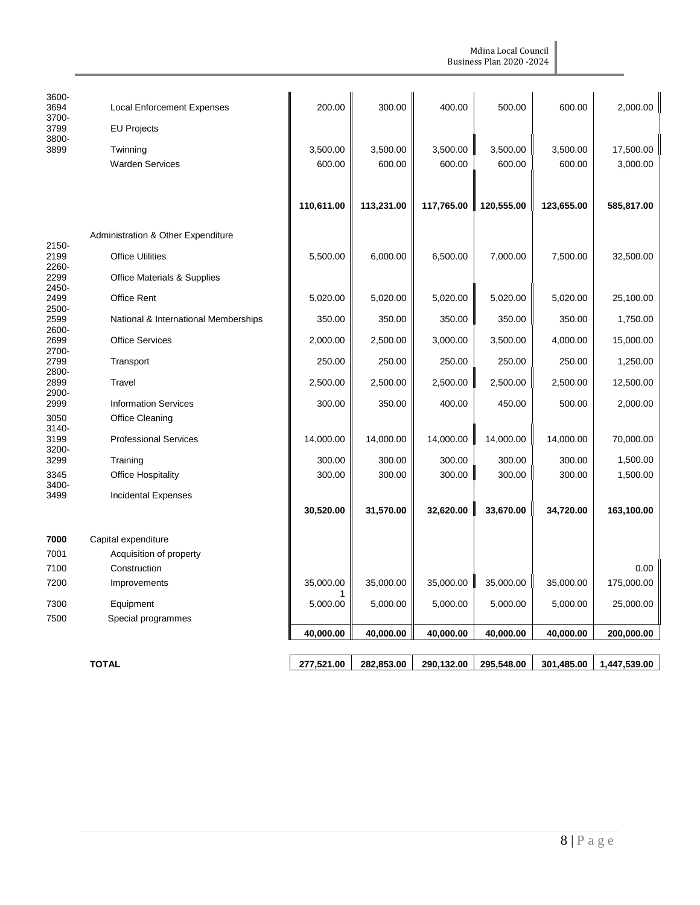| Mdina Local Council<br><b>Business Plan 2020 - 2024</b> |  |
|---------------------------------------------------------|--|
|                                                         |  |

| 3600-<br>3694<br>3700- | <b>Local Enforcement Expenses</b>    | 200.00     | 300.00     | 400.00     | 500.00     | 600.00     | 2,000.00     |
|------------------------|--------------------------------------|------------|------------|------------|------------|------------|--------------|
| 3799<br>3800-          | <b>EU Projects</b>                   |            |            |            |            |            |              |
| 3899                   | Twinning                             | 3,500.00   | 3,500.00   | 3,500.00   | 3,500.00   | 3,500.00   | 17,500.00    |
|                        | <b>Warden Services</b>               | 600.00     | 600.00     | 600.00     | 600.00     | 600.00     | 3,000.00     |
|                        |                                      |            |            |            |            |            |              |
|                        |                                      | 110,611.00 | 113,231.00 | 117,765.00 | 120,555.00 | 123,655.00 | 585,817.00   |
|                        | Administration & Other Expenditure   |            |            |            |            |            |              |
| 2150-<br>2199          | <b>Office Utilities</b>              | 5,500.00   | 6,000.00   | 6,500.00   | 7,000.00   | 7,500.00   | 32,500.00    |
| 2260-<br>2299          | Office Materials & Supplies          |            |            |            |            |            |              |
| 2450-<br>2499          | <b>Office Rent</b>                   | 5,020.00   | 5,020.00   | 5,020.00   | 5,020.00   | 5,020.00   | 25,100.00    |
| 2500-                  |                                      |            |            |            |            |            |              |
| 2599<br>2600-          | National & International Memberships | 350.00     | 350.00     | 350.00     | 350.00     | 350.00     | 1,750.00     |
| 2699                   | <b>Office Services</b>               | 2,000.00   | 2,500.00   | 3,000.00   | 3,500.00   | 4,000.00   | 15,000.00    |
| 2700-<br>2799<br>2800- | Transport                            | 250.00     | 250.00     | 250.00     | 250.00     | 250.00     | 1,250.00     |
| 2899                   | Travel                               | 2,500.00   | 2,500.00   | 2,500.00   | 2,500.00   | 2,500.00   | 12,500.00    |
| 2900-<br>2999          | <b>Information Services</b>          | 300.00     | 350.00     | 400.00     | 450.00     | 500.00     | 2,000.00     |
| 3050                   | <b>Office Cleaning</b>               |            |            |            |            |            |              |
| 3140-<br>3199<br>3200- | <b>Professional Services</b>         | 14,000.00  | 14,000.00  | 14,000.00  | 14,000.00  | 14,000.00  | 70,000.00    |
| 3299                   | Training                             | 300.00     | 300.00     | 300.00     | 300.00     | 300.00     | 1,500.00     |
| 3345                   | <b>Office Hospitality</b>            | 300.00     | 300.00     | 300.00     | 300.00     | 300.00     | 1,500.00     |
| 3400-<br>3499          | <b>Incidental Expenses</b>           |            |            |            |            |            |              |
|                        |                                      | 30,520.00  | 31,570.00  | 32,620.00  | 33,670.00  | 34,720.00  | 163,100.00   |
| 7000                   | Capital expenditure                  |            |            |            |            |            |              |
| 7001                   | Acquisition of property              |            |            |            |            |            |              |
| 7100                   | Construction                         |            |            |            |            |            | 0.00         |
| 7200                   | Improvements                         | 35,000.00  | 35,000.00  | 35,000.00  | 35,000.00  | 35,000.00  | 175,000.00   |
| 7300                   | Equipment                            | 5,000.00   | 5,000.00   | 5,000.00   | 5,000.00   | 5,000.00   | 25,000.00    |
| 7500                   | Special programmes                   |            |            |            |            |            |              |
|                        |                                      | 40,000.00  | 40,000.00  | 40,000.00  | 40,000.00  | 40,000.00  | 200,000.00   |
|                        |                                      |            |            |            |            |            |              |
|                        | <b>TOTAL</b>                         | 277,521.00 | 282,853.00 | 290,132.00 | 295,548.00 | 301,485.00 | 1,447,539.00 |